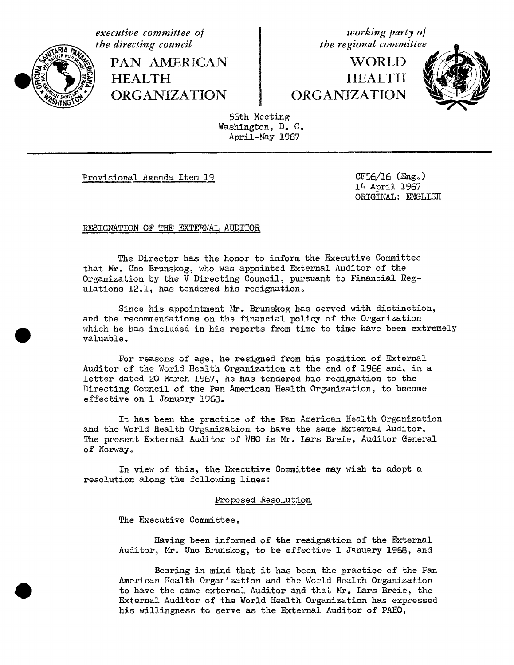

PAN AMERICAN **HEALTH** 

**executive** committee of  $\begin{cases}$  **working** party of the directing council

**WORLD HEALTH** 



56th Meeting Washington, D. C. April-May 1967

Provisional Agenda Item 19 CE56/16 (Eng.)

l& April 1967 ORIGINAL: ENGLISH

RESIGNATION OF THE EXTERNAL AUDITOR

The Director has the honor to inform the Executive Committee that Mr. Uno Brunskog, who was appointed External Auditor of the Organization by the V Directing Council, pursuant to Financial Regulations 12.1, has tendered his resignation.

Since his appointment Mr. Brunskog has served with distinction, and the recommendations on the financial policy of the Organization which he has included in his reports from time to time have been extremely valuable.

For reasons of age, he resigned from his position of External Auditor of the World Health Organization at the end of 1966 and, in a letter dated 20 March 1967, he has tendered his resignation to the Directing Council of the Pan American Health Organization, to become effective on i January 1968.

It has been the practice of the Pan American Health Organization and the World Health Organization to have the same External Auditor. The present External Auditor of WHO is Mr. Lars Breie, Auditor General of Norway.

In view of this, the Executive Committee may wish to adopt a resolution along the following lines:

## proposed Resolution

The Executive Committee,

Having been informed of the resignation of the External Auditor, Mr. Uno Brunskog, to be effective 1 January 1968, and

Bearing in mind that it has been the practice of the Pan American Health Organization and the World Health Organization to have the same external Auditor and that Mr. Lars Breie, the External Auditor of the World Health Organization has expressed his willingness to serve as the External Auditor of PAHO,